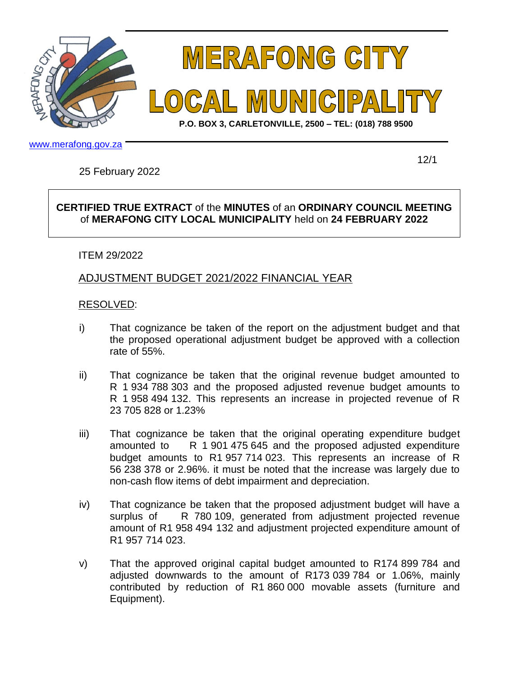



**P.O. BOX 3, CARLETONVILLE, 2500 – TEL: (018) 788 9500**

www.merafong.gov.za

25 February 2022

12/1

## **CERTIFIED TRUE EXTRACT** of the **MINUTES** of an **ORDINARY COUNCIL MEETING**  of **MERAFONG CITY LOCAL MUNICIPALITY** held on **24 FEBRUARY 2022**

## ITEM 29/2022

## ADJUSTMENT BUDGET 2021/2022 FINANCIAL YEAR

## RESOLVED:

- i) That cognizance be taken of the report on the adjustment budget and that the proposed operational adjustment budget be approved with a collection rate of 55%.
- ii) That cognizance be taken that the original revenue budget amounted to R 1 934 788 303 and the proposed adjusted revenue budget amounts to R 1 958 494 132. This represents an increase in projected revenue of R 23 705 828 or 1.23%
- iii) That cognizance be taken that the original operating expenditure budget amounted to R 1 901 475 645 and the proposed adjusted expenditure budget amounts to R1 957 714 023. This represents an increase of R 56 238 378 or 2.96%. it must be noted that the increase was largely due to non-cash flow items of debt impairment and depreciation.
- iv) That cognizance be taken that the proposed adjustment budget will have a surplus of R 780 109, generated from adjustment projected revenue amount of R1 958 494 132 and adjustment projected expenditure amount of R1 957 714 023.
- v) That the approved original capital budget amounted to R174 899 784 and adjusted downwards to the amount of R173 039 784 or 1.06%, mainly contributed by reduction of R1 860 000 movable assets (furniture and Equipment).